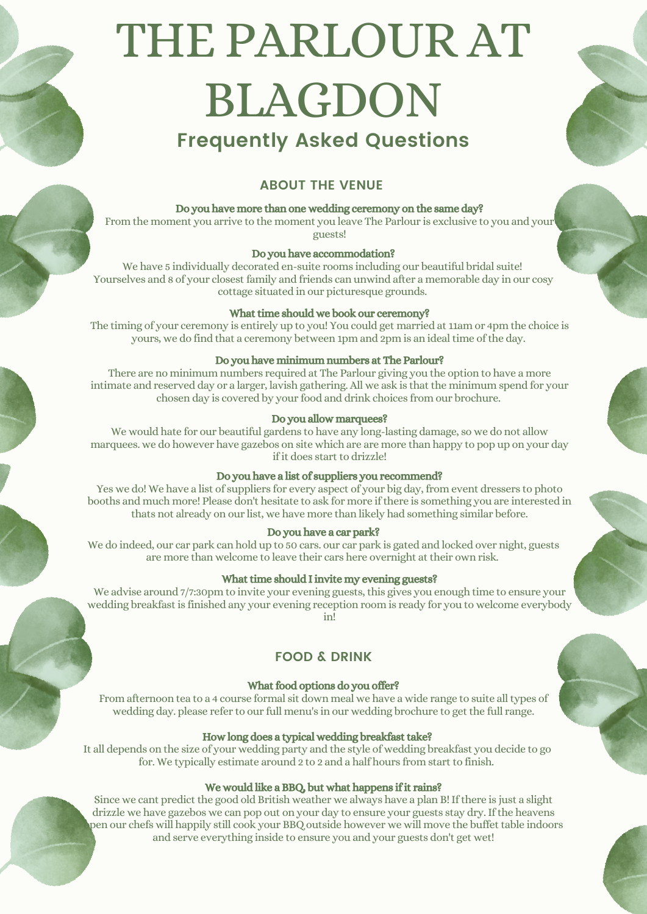# THE PARLOUR AT BLAGDON **Frequently Asked Questions**

# **ABOUT THE VENUE**

# Do you have more than one wedding ceremony on the same day?

From the moment you arrive to the moment you leave The Parlour is exclusive to you and your guests!

#### Do you have accommodation?

We have 5 individually decorated en-suite rooms including our beautiful bridal suite! Yourselves and 8 of your closest family and friends can unwind after a memorable day in our cosy cottage situated in our picturesque grounds.

# What time should we book our ceremony?

The timing of your ceremony is entirely up to you! You could get married at 11am or 4pm the choice is yours, we do find that a ceremony between 1pm and 2pm is an idealtime ofthe day.

# Do you have minimum numbers at The Parlour?

There are no minimum numbers required at The Parlour giving you the option to have a more intimate and reserved day or a larger, lavish gathering. All we ask is that the minimum spend for your chosen day is covered by your food and drink choices from our brochure.

# Do you allow marquees?

We would hate for our beautiful gardens to have any long-lasting damage, so we do not allow marquees. we do however have gazebos on site which are are more than happy to pop up on your day if it does start to drizzle!

# Do you have a list of suppliers you recommend?

Yes we do! We have a list of suppliers for every aspect of your big day, from event dressers to photo booths and much more! Please don't hesitate to ask for more if there is something you are interested in thats not already on our list, we have more than likely had something similar before.

# Do you have a car park?

We do indeed, our car park can hold up to 50 cars. our car park is gated and locked over night, guests are more than welcome to leave their cars here overnight attheir own risk.

#### What time should I invite my evening guests?

We advise around 7/7:30pm to invite your evening guests, this gives you enough time to ensure your wedding breakfast is finished any your evening reception room is ready for you to welcome everybody in!

# **FOOD & DRINK**

# What food options do you offer?

From afternoon tea to a 4 course formal sit down meal we have a wide range to suite alltypes of wedding day. please refer to our full menu's in our wedding brochure to getthe full range.

# How long does a typical wedding breakfast take?

It all depends on the size of your wedding party and the style of wedding breakfast you decide to go for. We typically estimate around 2 to 2 and a half hours from start to finish.

# We would like a BBQ, but what happens if it rains?

Since we cant predict the good old British weather we always have a plan B! If there is just a slight drizzle we have gazebos we can pop out on your day to ensure your guests stay dry. If the heavens pen our chefs will happily still cook your BBQ outside however we will move the buffet table indoors and serve everything inside to ensure you and your guests don't get wet!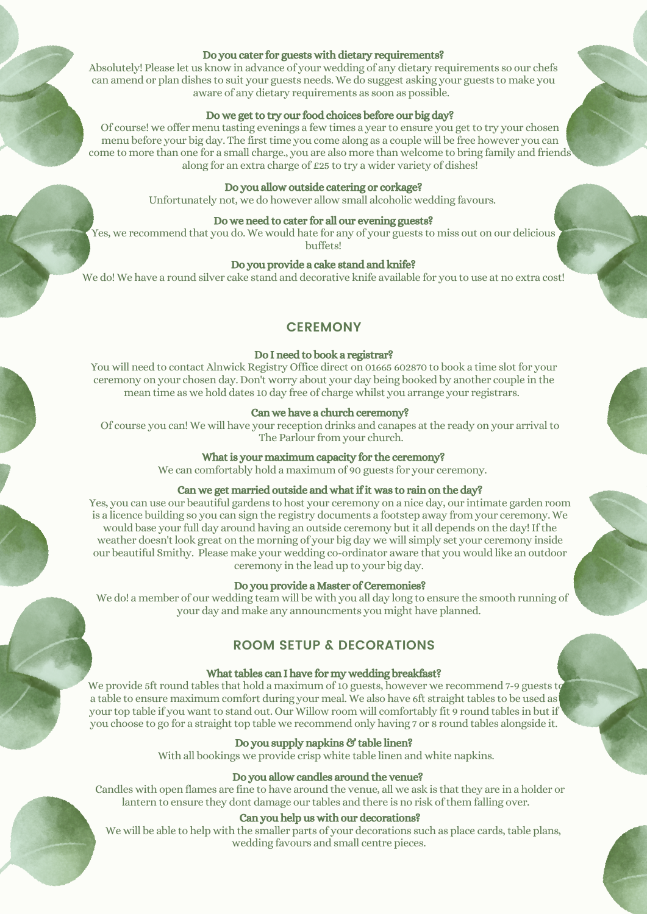#### Do you cater for guests with dietary requirements?

Absolutely! Please let us know in advance of your wedding of any dietary requirements so our chefs can amend or plan dishes to suit your guests needs. We do suggest asking your guests to make you aware of any dietary requirements as soon as possible.

#### Do we get to try our food choices before our big day?

Of course! we offer menu tasting evenings a few times a year to ensure you get to try your chosen menu before your big day. The first time you come along as a couple will be free however you can come to more than one for a small charge., you are also more than welcome to bring family and friends along for an extra charge of £25 to try a wider variety of dishes!

#### Do you allow outside catering or corkage?

Unfortunately not, we do however allow small alcoholic wedding favours.

# Do we need to cater for all our evening guests?

Yes, we recommend that you do. We would hate for any of your guests to miss out on our delicious buffets!

# Do you provide a cake stand and knife?

We do! We have a round silver cake stand and decorative knife available for you to use at no extra cost!

# **CEREMONY**

#### Do I need to book a registrar?

You will need to contact Alnwick Registry Office direct on 01665 602870 to book a time slot for your ceremony on your chosen day. Don't worry about your day being booked by another couple in the mean time as we hold dates 10 day free of charge whilst you arrange your registrars.

#### Can we have a church ceremony?

Of course you can! We will have your reception drinks and canapes at the ready on your arrival to The Parlour from your church.

#### What is your maximum capacity for the ceremony?

We can comfortably hold a maximum of 90 guests for your ceremony.

# Can we get married outside and what if it was to rain on the day?

Yes, you can use our beautiful gardens to host your ceremony on a nice day, our intimate garden room is a licence building so you can sign the registry documents a footstep away from your ceremony. We would base your full day around having an outside ceremony but it all depends on the day! If the weather doesn't look great on the morning of your big day we will simply set your ceremony inside our beautiful Smithy. Please make your wedding co-ordinator aware that you would like an outdoor ceremony in the lead up to your big day.

#### Do you provide a Master of Ceremonies?

We do! a member of our wedding team will be with you all day long to ensure the smooth running of your day and make any announcments you might have planned.

# **ROOM SETUP & DECORATIONS**

# What tables can I have for my wedding breakfast?

We provide 5ft round tables that hold a maximum of 10 guests, however we recommend 7-9 guests to a table to ensure maximum comfort during your meal. We also have 6ft straight tables to be used as your top table if you want to stand out. Our Willow room will comfortably fit 9 round tables in but if you choose to go for a straight top table we recommend only having 7 or 8 round tables alongside it.

# Do you supply napkins & table linen?

With all bookings we provide crisp white table linen and white napkins.

#### Do you allow candles around the venue?

Candles with open flames are fine to have around the venue, all we ask is that they are in a holder or lantern to ensure they dont damage our tables and there is no risk of them falling over.

#### Can you help us with our decorations?

We will be able to help with the smaller parts of your decorations such as place cards, table plans, wedding favours and small centre pieces.